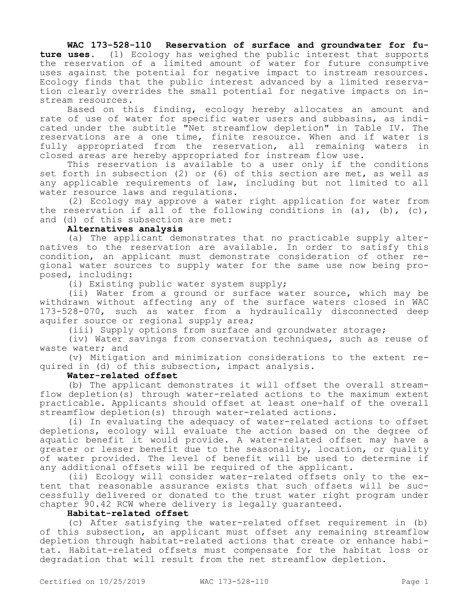# **WAC 173-528-110 Reservation of surface and groundwater for future uses.** (1) Ecology has weighed the public interest that supports the reservation of a limited amount of water for future consumptive uses against the potential for negative impact to instream resources. Ecology finds that the public interest advanced by a limited reservation clearly overrides the small potential for negative impacts on instream resources.

Based on this finding, ecology hereby allocates an amount and rate of use of water for specific water users and subbasins, as indicated under the subtitle "Net streamflow depletion" in Table IV. The reservations are a one time, finite resource. When and if water is fully appropriated from the reservation, all remaining waters in closed areas are hereby appropriated for instream flow use.

This reservation is available to a user only if the conditions set forth in subsection (2) or (6) of this section are met, as well as any applicable requirements of law, including but not limited to all water resource laws and regulations.

(2) Ecology may approve a water right application for water from the reservation if all of the following conditions in (a), (b), (c), and (d) of this subsection are met:

### **Alternatives analysis**

(a) The applicant demonstrates that no practicable supply alternatives to the reservation are available. In order to satisfy this condition, an applicant must demonstrate consideration of other regional water sources to supply water for the same use now being proposed, including:

(i) Existing public water system supply;

(ii) Water from a ground or surface water source, which may be withdrawn without affecting any of the surface waters closed in WAC 173-528-070, such as water from a hydraulically disconnected deep aquifer source or regional supply area;

(iii) Supply options from surface and groundwater storage;

(iv) Water savings from conservation techniques, such as reuse of waste water; and

(v) Mitigation and minimization considerations to the extent required in (d) of this subsection, impact analysis.

### **Water-related offset**

(b) The applicant demonstrates it will offset the overall streamflow depletion(s) through water-related actions to the maximum extent practicable. Applicants should offset at least one-half of the overall streamflow depletion(s) through water-related actions.

(i) In evaluating the adequacy of water-related actions to offset depletions, ecology will evaluate the action based on the degree of aquatic benefit it would provide. A water-related offset may have a greater or lesser benefit due to the seasonality, location, or quality of water provided. The level of benefit will be used to determine if any additional offsets will be required of the applicant.

(ii) Ecology will consider water-related offsets only to the extent that reasonable assurance exists that such offsets will be successfully delivered or donated to the trust water right program under chapter 90.42 RCW where delivery is legally guaranteed.

# **Habitat-related offset**

(c) After satisfying the water-related offset requirement in (b) of this subsection, an applicant must offset any remaining streamflow depletion through habitat-related actions that create or enhance habitat. Habitat-related offsets must compensate for the habitat loss or degradation that will result from the net streamflow depletion.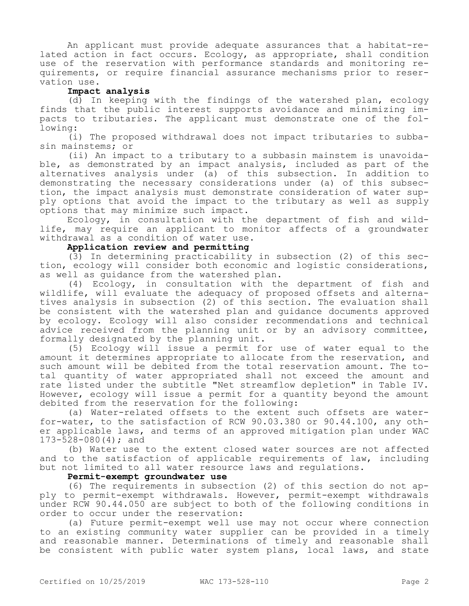An applicant must provide adequate assurances that a habitat-related action in fact occurs. Ecology, as appropriate, shall condition use of the reservation with performance standards and monitoring requirements, or require financial assurance mechanisms prior to reservation use.

#### **Impact analysis**

(d) In keeping with the findings of the watershed plan, ecology finds that the public interest supports avoidance and minimizing impacts to tributaries. The applicant must demonstrate one of the following:

(i) The proposed withdrawal does not impact tributaries to subbasin mainstems; or

(ii) An impact to a tributary to a subbasin mainstem is unavoidable, as demonstrated by an impact analysis, included as part of the alternatives analysis under (a) of this subsection. In addition to demonstrating the necessary considerations under (a) of this subsection, the impact analysis must demonstrate consideration of water supply options that avoid the impact to the tributary as well as supply options that may minimize such impact.

Ecology, in consultation with the department of fish and wildlife, may require an applicant to monitor affects of a groundwater withdrawal as a condition of water use.

### **Application review and permitting**

(3) In determining practicability in subsection (2) of this section, ecology will consider both economic and logistic considerations, as well as guidance from the watershed plan.

(4) Ecology, in consultation with the department of fish and wildlife, will evaluate the adequacy of proposed offsets and alternatives analysis in subsection (2) of this section. The evaluation shall be consistent with the watershed plan and guidance documents approved by ecology. Ecology will also consider recommendations and technical advice received from the planning unit or by an advisory committee, formally designated by the planning unit.

(5) Ecology will issue a permit for use of water equal to the amount it determines appropriate to allocate from the reservation, and such amount will be debited from the total reservation amount. The total quantity of water appropriated shall not exceed the amount and rate listed under the subtitle "Net streamflow depletion" in Table IV. However, ecology will issue a permit for a quantity beyond the amount debited from the reservation for the following:

(a) Water-related offsets to the extent such offsets are waterfor-water, to the satisfaction of RCW 90.03.380 or 90.44.100, any other applicable laws, and terms of an approved mitigation plan under WAC  $173 - 528 - 080(4)$ ; and

(b) Water use to the extent closed water sources are not affected and to the satisfaction of applicable requirements of law, including but not limited to all water resource laws and regulations.

### **Permit-exempt groundwater use**

(6) The requirements in subsection (2) of this section do not apply to permit-exempt withdrawals. However, permit-exempt withdrawals under RCW 90.44.050 are subject to both of the following conditions in order to occur under the reservation:

(a) Future permit-exempt well use may not occur where connection to an existing community water supplier can be provided in a timely and reasonable manner. Determinations of timely and reasonable shall be consistent with public water system plans, local laws, and state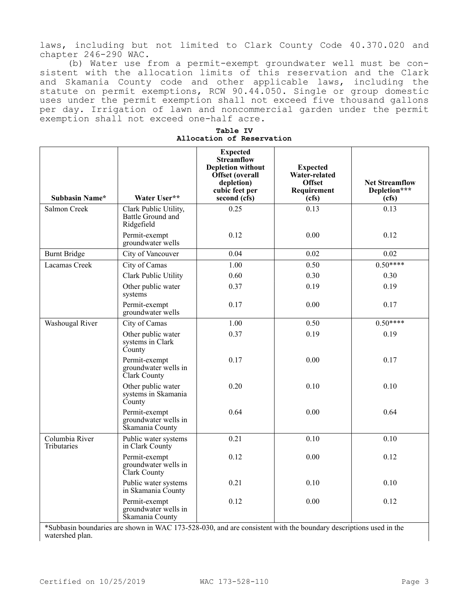laws, including but not limited to Clark County Code 40.370.020 and chapter 246-290 WAC.

(b) Water use from a permit-exempt groundwater well must be consistent with the allocation limits of this reservation and the Clark and Skamania County code and other applicable laws, including the statute on permit exemptions, RCW 90.44.050. Single or group domestic uses under the permit exemption shall not exceed five thousand gallons per day. Irrigation of lawn and noncommercial garden under the permit exemption shall not exceed one-half acre.

| Subbasin Name*                       | Water User**                                             | <b>Expected</b><br>Streamflow<br><b>Depletion without</b><br><b>Offset</b> (overall<br>depletion)<br>cubic feet per<br>second (cfs) | <b>Expected</b><br><b>Water-related</b><br><b>Offset</b><br>Requirement<br>(cfs) | <b>Net Streamflow</b><br>Depletion***<br>(cfs) |
|--------------------------------------|----------------------------------------------------------|-------------------------------------------------------------------------------------------------------------------------------------|----------------------------------------------------------------------------------|------------------------------------------------|
| Salmon Creek                         | Clark Public Utility,<br>Battle Ground and<br>Ridgefield | 0.25                                                                                                                                | 0.13                                                                             | 0.13                                           |
|                                      | Permit-exempt<br>groundwater wells                       | 0.12                                                                                                                                | 0.00                                                                             | 0.12                                           |
| <b>Burnt Bridge</b>                  | City of Vancouver                                        | 0.04                                                                                                                                | 0.02                                                                             | 0.02                                           |
| Lacamas Creek                        | City of Camas                                            | 1.00                                                                                                                                | 0.50                                                                             | $0.50***$                                      |
|                                      | Clark Public Utility                                     | 0.60                                                                                                                                | 0.30                                                                             | 0.30                                           |
|                                      | Other public water<br>systems                            | 0.37                                                                                                                                | 0.19                                                                             | 0.19                                           |
|                                      | Permit-exempt<br>groundwater wells                       | 0.17                                                                                                                                | 0.00                                                                             | 0.17                                           |
| Washougal River                      | City of Camas                                            | 1.00                                                                                                                                | 0.50                                                                             | $0.50***$                                      |
|                                      | Other public water<br>systems in Clark<br>County         | 0.37                                                                                                                                | 0.19                                                                             | 0.19                                           |
|                                      | Permit-exempt<br>groundwater wells in<br>Clark County    | 0.17                                                                                                                                | 0.00                                                                             | 0.17                                           |
|                                      | Other public water<br>systems in Skamania<br>County      | 0.20                                                                                                                                | 0.10                                                                             | 0.10                                           |
|                                      | Permit-exempt<br>groundwater wells in<br>Skamania County | 0.64                                                                                                                                | 0.00                                                                             | 0.64                                           |
| Columbia River<br><b>Tributaries</b> | Public water systems<br>in Clark County                  | 0.21                                                                                                                                | 0.10                                                                             | 0.10                                           |
|                                      | Permit-exempt<br>groundwater wells in<br>Clark County    | 0.12                                                                                                                                | 0.00                                                                             | 0.12                                           |
|                                      | Public water systems<br>in Skamania County               | 0.21                                                                                                                                | 0.10                                                                             | 0.10                                           |
|                                      | Permit-exempt<br>groundwater wells in<br>Skamania County | 0.12                                                                                                                                | 0.00                                                                             | 0.12                                           |

**Table IV Allocation of Reservation**

\*Subbasin boundaries are shown in WAC 173-528-030, and are consistent with the boundary descriptions used in the watershed plan.